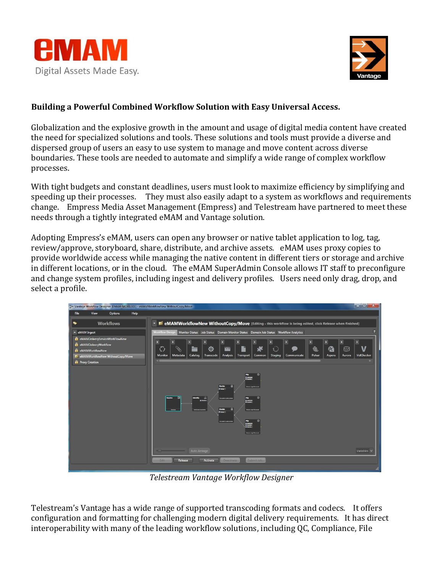



## **Building a Powerful Combined Workflow Solution with Easy Universal Access.**

Globalization and the explosive growth in the amount and usage of digital media content have created the need for specialized solutions and tools. These solutions and tools must provide a diverse and dispersed group of users an easy to use system to manage and move content across diverse boundaries. These tools are needed to automate and simplify a wide range of complex workflow processes.

With tight budgets and constant deadlines, users must look to maximize efficiency by simplifying and speeding up their processes. They must also easily adapt to a system as workflows and requirements change. Empress Media Asset Management (Empress) and Telestream have partnered to meet these needs through a tightly integrated eMAM and Vantage solution.

Adopting Empress's eMAM, users can open any browser or native tablet application to log, tag, review/approve, storyboard, share, distribute, and archive assets. eMAM uses proxy copies to provide worldwide access while managing the native content in different tiers or storage and archive in different locations, or in the cloud. The eMAM SuperAdmin Console allows IT staff to preconfigure and change system profiles, including ingest and delivery profiles. Users need only drag, drop, and select a profile.



*Telestream Vantage Workflow Designer*

Telestream's Vantage has a wide range of supported transcoding formats and codecs. It offers configuration and formatting for challenging modern digital delivery requirements. It has direct interoperability with many of the leading workflow solutions, including QC, Compliance, File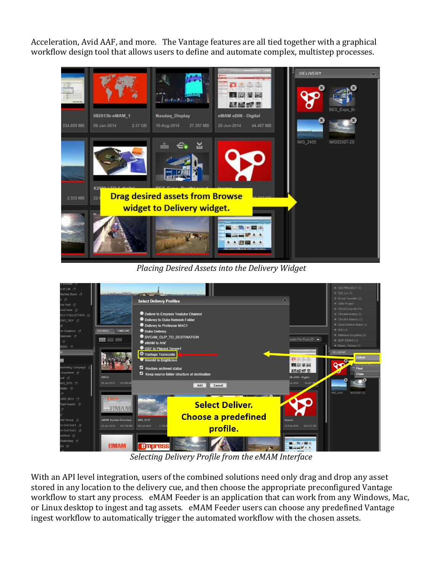Acceleration, Avid AAF, and more. The Vantage features are all tied together with a graphical workflow design tool that allows users to define and automate complex, multistep processes.



*Placing Desired Assets into the Delivery Widget*



*Selecting Delivery Profile from the eMAM Interface*

With an API level integration, users of the combined solutions need only drag and drop any asset stored in any location to the delivery cue, and then choose the appropriate preconfigured Vantage workflow to start any process. eMAM Feeder is an application that can work from any Windows, Mac, or Linux desktop to ingest and tag assets. eMAM Feeder users can choose any predefined Vantage ingest workflow to automatically trigger the automated workflow with the chosen assets.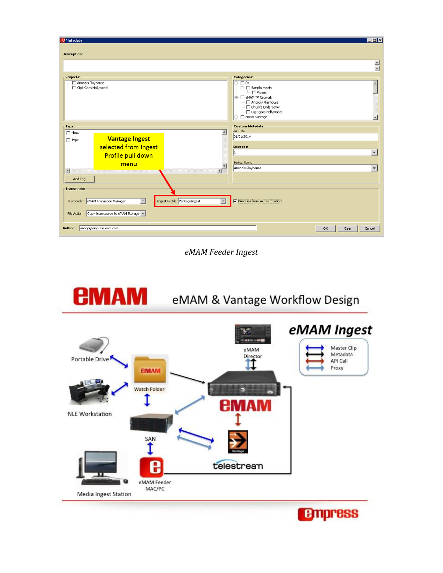| $\Box$ o $\boxtimes$<br><b>E</b> Metadata                                                                                                                                         |                       |                  |                                                                                                                                                                                 |                          |
|-----------------------------------------------------------------------------------------------------------------------------------------------------------------------------------|-----------------------|------------------|---------------------------------------------------------------------------------------------------------------------------------------------------------------------------------|--------------------------|
| <b>Description:</b>                                                                                                                                                               |                       |                  |                                                                                                                                                                                 |                          |
|                                                                                                                                                                                   |                       |                  |                                                                                                                                                                                 | $\frac{1}{\sqrt{2}}$     |
| Projects:                                                                                                                                                                         |                       |                  | <b>Categories:</b>                                                                                                                                                              |                          |
| Anoop's Playhouse<br>Gigit Goes Hollywood                                                                                                                                         |                       |                  | $\boxdot$ $\Box$ D:<br>$\Box$ Sample assets<br>$\Box$ Videos<br>□ F eMAM TV Network<br>- □ Anoop's Playhouse<br>Chuck's Undercover<br>Gigit goes Hollywood!<br>□ F emam-vantage |                          |
| <b>Custom Metadata</b><br>Tags:                                                                                                                                                   |                       |                  |                                                                                                                                                                                 |                          |
| $\Box$ Show                                                                                                                                                                       |                       | $\blacktriangle$ | Air Date<br>01/01/2014                                                                                                                                                          |                          |
| $\Box$ Type                                                                                                                                                                       | <b>Vantage Ingest</b> |                  |                                                                                                                                                                                 |                          |
|                                                                                                                                                                                   | selected from Ingest  |                  | Episode #                                                                                                                                                                       |                          |
|                                                                                                                                                                                   | Profile pull down     |                  |                                                                                                                                                                                 | $\overline{\phantom{0}}$ |
|                                                                                                                                                                                   | menu                  |                  | Series Name                                                                                                                                                                     |                          |
| $\vert \cdot \vert$                                                                                                                                                               |                       | $\vert \vert$    | Anoop's Playhouse                                                                                                                                                               | $\overline{\phantom{0}}$ |
| Add Tag                                                                                                                                                                           |                       |                  |                                                                                                                                                                                 |                          |
| Transcoder                                                                                                                                                                        |                       |                  |                                                                                                                                                                                 |                          |
| Ingest Profile VantageIngest<br><b>V</b> Processs from source location<br>Transcoder eMAM Transcode Manager<br>$\vert$<br>$\vert$<br>File Action Copy from source to eMAM Storage |                       |                  |                                                                                                                                                                                 |                          |
| anoop@empressmam.com<br>Author<br>OK<br>Clear<br>Cancel                                                                                                                           |                       |                  |                                                                                                                                                                                 |                          |

eMAM Feeder Ingest